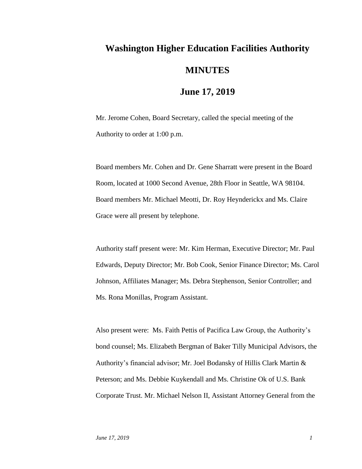## **Washington Higher Education Facilities Authority MINUTES**

## **June 17, 2019**

Mr. Jerome Cohen, Board Secretary, called the special meeting of the Authority to order at 1:00 p.m.

Board members Mr. Cohen and Dr. Gene Sharratt were present in the Board Room, located at 1000 Second Avenue, 28th Floor in Seattle, WA 98104. Board members Mr. Michael Meotti, Dr. Roy Heynderickx and Ms. Claire Grace were all present by telephone.

Authority staff present were: Mr. Kim Herman, Executive Director; Mr. Paul Edwards, Deputy Director; Mr. Bob Cook, Senior Finance Director; Ms. Carol Johnson, Affiliates Manager; Ms. Debra Stephenson, Senior Controller; and Ms. Rona Monillas, Program Assistant.

Also present were: Ms. Faith Pettis of Pacifica Law Group, the Authority's bond counsel; Ms. Elizabeth Bergman of Baker Tilly Municipal Advisors, the Authority's financial advisor; Mr. Joel Bodansky of Hillis Clark Martin & Peterson; and Ms. Debbie Kuykendall and Ms. Christine Ok of U.S. Bank Corporate Trust. Mr. Michael Nelson II, Assistant Attorney General from the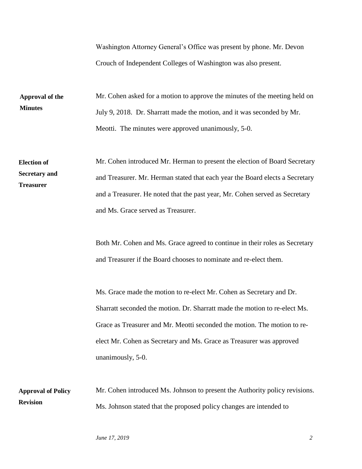Washington Attorney General's Office was present by phone. Mr. Devon Crouch of Independent Colleges of Washington was also present.

Mr. Cohen asked for a motion to approve the minutes of the meeting held on July 9, 2018. Dr. Sharratt made the motion, and it was seconded by Mr. Meotti. The minutes were approved unanimously, 5-0. **Approval of the Minutes**

Mr. Cohen introduced Mr. Herman to present the election of Board Secretary and Treasurer. Mr. Herman stated that each year the Board elects a Secretary and a Treasurer. He noted that the past year, Mr. Cohen served as Secretary and Ms. Grace served as Treasurer. **Election of Secretary and Treasurer**

> Both Mr. Cohen and Ms. Grace agreed to continue in their roles as Secretary and Treasurer if the Board chooses to nominate and re-elect them.

Ms. Grace made the motion to re-elect Mr. Cohen as Secretary and Dr. Sharratt seconded the motion. Dr. Sharratt made the motion to re-elect Ms. Grace as Treasurer and Mr. Meotti seconded the motion. The motion to reelect Mr. Cohen as Secretary and Ms. Grace as Treasurer was approved unanimously, 5-0.

Mr. Cohen introduced Ms. Johnson to present the Authority policy revisions. Ms. Johnson stated that the proposed policy changes are intended to **Approval of Policy Revision**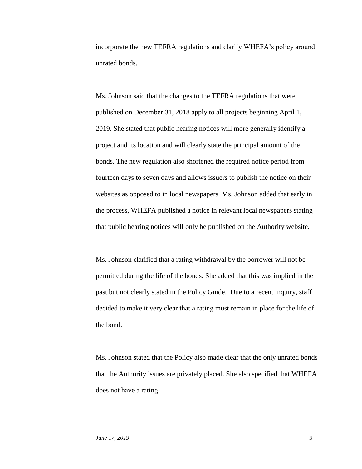incorporate the new TEFRA regulations and clarify WHEFA's policy around unrated bonds.

Ms. Johnson said that the changes to the TEFRA regulations that were published on December 31, 2018 apply to all projects beginning April 1, 2019. She stated that public hearing notices will more generally identify a project and its location and will clearly state the principal amount of the bonds. The new regulation also shortened the required notice period from fourteen days to seven days and allows issuers to publish the notice on their websites as opposed to in local newspapers. Ms. Johnson added that early in the process, WHEFA published a notice in relevant local newspapers stating that public hearing notices will only be published on the Authority website.

Ms. Johnson clarified that a rating withdrawal by the borrower will not be permitted during the life of the bonds. She added that this was implied in the past but not clearly stated in the Policy Guide. Due to a recent inquiry, staff decided to make it very clear that a rating must remain in place for the life of the bond.

Ms. Johnson stated that the Policy also made clear that the only unrated bonds that the Authority issues are privately placed. She also specified that WHEFA does not have a rating.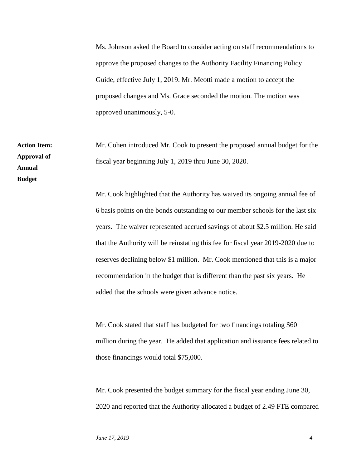Ms. Johnson asked the Board to consider acting on staff recommendations to approve the proposed changes to the Authority Facility Financing Policy Guide, effective July 1, 2019. Mr. Meotti made a motion to accept the proposed changes and Ms. Grace seconded the motion. The motion was approved unanimously, 5-0.

Mr. Cohen introduced Mr. Cook to present the proposed annual budget for the fiscal year beginning July 1, 2019 thru June 30, 2020.

Mr. Cook highlighted that the Authority has waived its ongoing annual fee of 6 basis points on the bonds outstanding to our member schools for the last six years. The waiver represented accrued savings of about \$2.5 million. He said that the Authority will be reinstating this fee for fiscal year 2019-2020 due to reserves declining below \$1 million. Mr. Cook mentioned that this is a major recommendation in the budget that is different than the past six years. He added that the schools were given advance notice.

Mr. Cook stated that staff has budgeted for two financings totaling \$60 million during the year. He added that application and issuance fees related to those financings would total \$75,000.

Mr. Cook presented the budget summary for the fiscal year ending June 30, 2020 and reported that the Authority allocated a budget of 2.49 FTE compared

**Action Item: Approval of Annual Budget**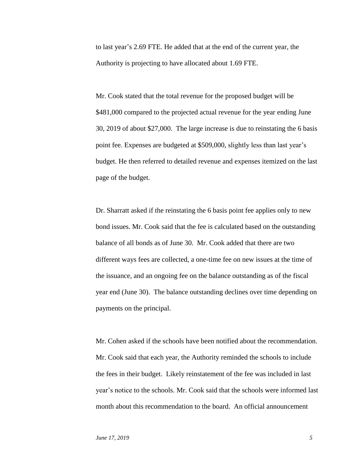to last year's 2.69 FTE. He added that at the end of the current year, the Authority is projecting to have allocated about 1.69 FTE.

Mr. Cook stated that the total revenue for the proposed budget will be \$481,000 compared to the projected actual revenue for the year ending June 30, 2019 of about \$27,000. The large increase is due to reinstating the 6 basis point fee. Expenses are budgeted at \$509,000, slightly less than last year's budget. He then referred to detailed revenue and expenses itemized on the last page of the budget.

Dr. Sharratt asked if the reinstating the 6 basis point fee applies only to new bond issues. Mr. Cook said that the fee is calculated based on the outstanding balance of all bonds as of June 30. Mr. Cook added that there are two different ways fees are collected, a one-time fee on new issues at the time of the issuance, and an ongoing fee on the balance outstanding as of the fiscal year end (June 30). The balance outstanding declines over time depending on payments on the principal.

Mr. Cohen asked if the schools have been notified about the recommendation. Mr. Cook said that each year, the Authority reminded the schools to include the fees in their budget. Likely reinstatement of the fee was included in last year's notice to the schools. Mr. Cook said that the schools were informed last month about this recommendation to the board. An official announcement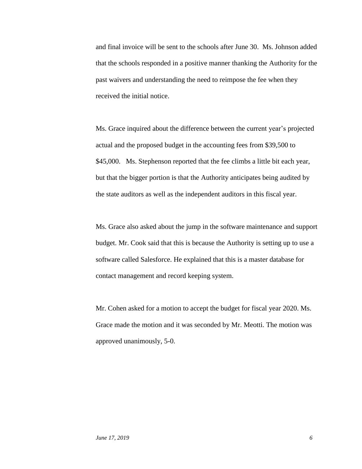and final invoice will be sent to the schools after June 30. Ms. Johnson added that the schools responded in a positive manner thanking the Authority for the past waivers and understanding the need to reimpose the fee when they received the initial notice.

Ms. Grace inquired about the difference between the current year's projected actual and the proposed budget in the accounting fees from \$39,500 to \$45,000. Ms. Stephenson reported that the fee climbs a little bit each year, but that the bigger portion is that the Authority anticipates being audited by the state auditors as well as the independent auditors in this fiscal year.

Ms. Grace also asked about the jump in the software maintenance and support budget. Mr. Cook said that this is because the Authority is setting up to use a software called Salesforce. He explained that this is a master database for contact management and record keeping system.

Mr. Cohen asked for a motion to accept the budget for fiscal year 2020. Ms. Grace made the motion and it was seconded by Mr. Meotti. The motion was approved unanimously, 5-0.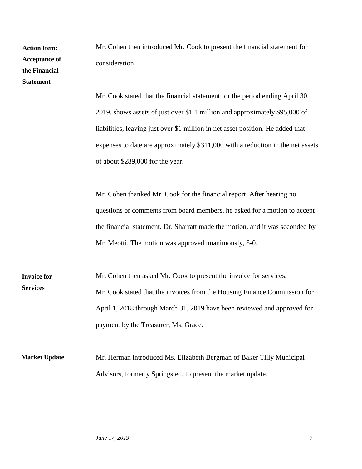| <b>Action Item:</b><br><b>Acceptance of</b><br>the Financial<br><b>Statement</b> | Mr. Cohen then introduced Mr. Cook to present the financial statement for<br>consideration.<br>Mr. Cook stated that the financial statement for the period ending April 30,<br>2019, shows assets of just over \$1.1 million and approximately \$95,000 of<br>liabilities, leaving just over \$1 million in net asset position. He added that<br>expenses to date are approximately \$311,000 with a reduction in the net assets |
|----------------------------------------------------------------------------------|----------------------------------------------------------------------------------------------------------------------------------------------------------------------------------------------------------------------------------------------------------------------------------------------------------------------------------------------------------------------------------------------------------------------------------|
|                                                                                  | of about \$289,000 for the year.<br>Mr. Cohen thanked Mr. Cook for the financial report. After hearing no<br>questions or comments from board members, he asked for a motion to accept<br>the financial statement. Dr. Sharratt made the motion, and it was seconded by<br>Mr. Meotti. The motion was approved unanimously, 5-0.                                                                                                 |
| <b>Invoice for</b><br><b>Services</b>                                            | Mr. Cohen then asked Mr. Cook to present the invoice for services.<br>Mr. Cook stated that the invoices from the Housing Finance Commission for<br>April 1, 2018 through March 31, 2019 have been reviewed and approved for<br>payment by the Treasurer, Ms. Grace.                                                                                                                                                              |
| <b>Market Update</b>                                                             | Mr. Herman introduced Ms. Elizabeth Bergman of Baker Tilly Municipal<br>Advisors, formerly Springsted, to present the market update.                                                                                                                                                                                                                                                                                             |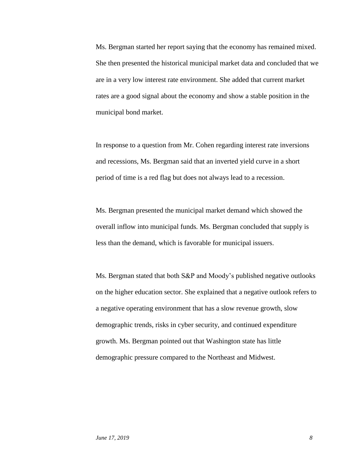Ms. Bergman started her report saying that the economy has remained mixed. She then presented the historical municipal market data and concluded that we are in a very low interest rate environment. She added that current market rates are a good signal about the economy and show a stable position in the municipal bond market.

In response to a question from Mr. Cohen regarding interest rate inversions and recessions, Ms. Bergman said that an inverted yield curve in a short period of time is a red flag but does not always lead to a recession.

Ms. Bergman presented the municipal market demand which showed the overall inflow into municipal funds*.* Ms. Bergman concluded that supply is less than the demand, which is favorable for municipal issuers.

Ms. Bergman stated that both S&P and Moody's published negative outlooks on the higher education sector. She explained that a negative outlook refers to a negative operating environment that has a slow revenue growth, slow demographic trends, risks in cyber security, and continued expenditure growth. Ms. Bergman pointed out that Washington state has little demographic pressure compared to the Northeast and Midwest.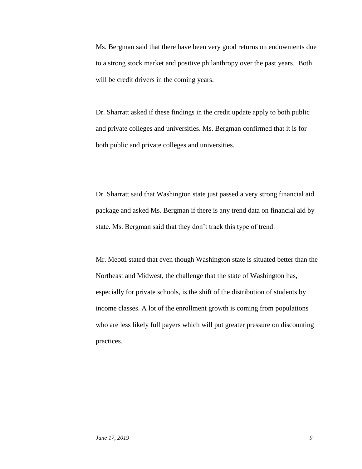Ms. Bergman said that there have been very good returns on endowments due to a strong stock market and positive philanthropy over the past years. Both will be credit drivers in the coming years.

Dr. Sharratt asked if these findings in the credit update apply to both public and private colleges and universities. Ms. Bergman confirmed that it is for both public and private colleges and universities.

Dr. Sharratt said that Washington state just passed a very strong financial aid package and asked Ms. Bergman if there is any trend data on financial aid by state. Ms. Bergman said that they don't track this type of trend.

Mr. Meotti stated that even though Washington state is situated better than the Northeast and Midwest, the challenge that the state of Washington has, especially for private schools, is the shift of the distribution of students by income classes. A lot of the enrollment growth is coming from populations who are less likely full payers which will put greater pressure on discounting practices.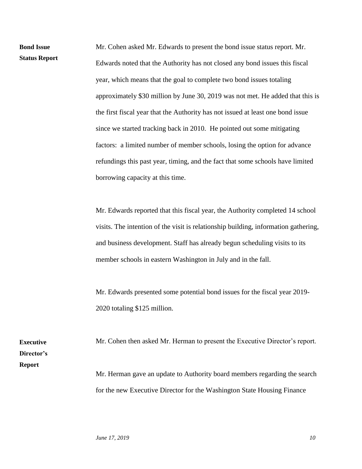Mr. Cohen asked Mr. Edwards to present the bond issue status report. Mr. Edwards noted that the Authority has not closed any bond issues this fiscal year, which means that the goal to complete two bond issues totaling approximately \$30 million by June 30, 2019 was not met. He added that this is the first fiscal year that the Authority has not issued at least one bond issue since we started tracking back in 2010. He pointed out some mitigating factors: a limited number of member schools, losing the option for advance refundings this past year, timing, and the fact that some schools have limited borrowing capacity at this time. **Status Report**

> Mr. Edwards reported that this fiscal year, the Authority completed 14 school visits. The intention of the visit is relationship building, information gathering, and business development. Staff has already begun scheduling visits to its member schools in eastern Washington in July and in the fall.

Mr. Edwards presented some potential bond issues for the fiscal year 2019- 2020 totaling \$125 million.

**Executive Director's Report**

**Bond Issue** 

Mr. Cohen then asked Mr. Herman to present the Executive Director's report. Mr. Herman gave an update to Authority board members regarding the search for the new Executive Director for the Washington State Housing Finance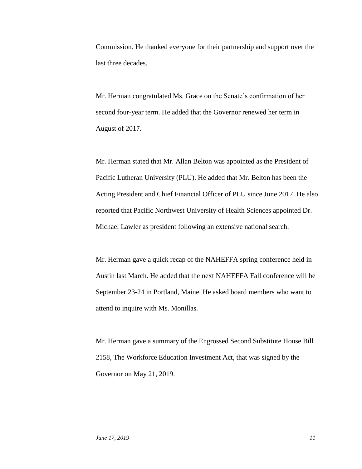Commission. He thanked everyone for their partnership and support over the last three decades.

Mr. Herman congratulated Ms. Grace on the Senate's confirmation of her second four-year term. He added that the Governor renewed her term in August of 2017.

Mr. Herman stated that Mr. Allan Belton was appointed as the President of Pacific Lutheran University (PLU). He added that Mr. Belton has been the Acting President and Chief Financial Officer of PLU since June 2017. He also reported that Pacific Northwest University of Health Sciences appointed Dr. Michael Lawler as president following an extensive national search.

Mr. Herman gave a quick recap of the NAHEFFA spring conference held in Austin last March. He added that the next NAHEFFA Fall conference will be September 23-24 in Portland, Maine. He asked board members who want to attend to inquire with Ms. Monillas.

Mr. Herman gave a summary of the Engrossed Second Substitute House Bill 2158, The Workforce Education Investment Act, that was signed by the Governor on May 21, 2019.